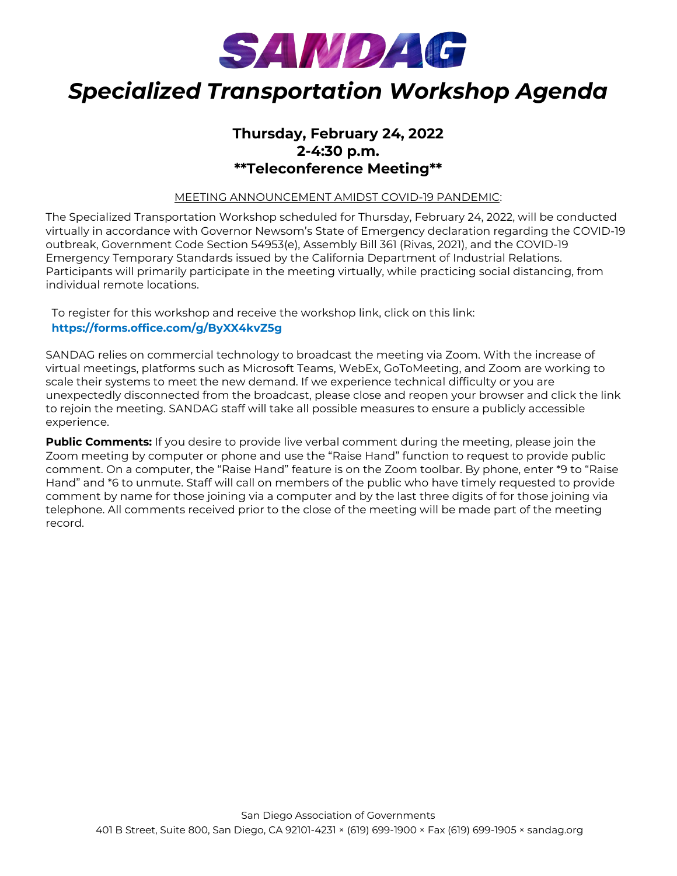

# *Specialized Transportation Workshop Agenda*

## **Thursday, February 24, 2022 2-4:30 p.m. \*\*Teleconference Meeting\*\***

MEETING ANNOUNCEMENT AMIDST COVID-19 PANDEMIC:

The Specialized Transportation Workshop scheduled for Thursday, February 24, 2022, will be conducted virtually in accordance with Governor Newsom's State of Emergency declaration regarding the COVID-19 outbreak, Government Code Section 54953(e), Assembly Bill 361 (Rivas, 2021), and the COVID-19 Emergency Temporary Standards issued by the California Department of Industrial Relations. Participants will primarily participate in the meeting virtually, while practicing social distancing, from individual remote locations.

To register for this workshop and receive the workshop link, click on this link: **<https://forms.office.com/g/ByXX4kvZ5g>**

SANDAG relies on commercial technology to broadcast the meeting via Zoom. With the increase of virtual meetings, platforms such as Microsoft Teams, WebEx, GoToMeeting, and Zoom are working to scale their systems to meet the new demand. If we experience technical difficulty or you are unexpectedly disconnected from the broadcast, please close and reopen your browser and click the link to rejoin the meeting. SANDAG staff will take all possible measures to ensure a publicly accessible experience.

**Public Comments:** If you desire to provide live verbal comment during the meeting, please join the Zoom meeting by computer or phone and use the "Raise Hand" function to request to provide public comment. On a computer, the "Raise Hand" feature is on the Zoom toolbar. By phone, enter \*9 to "Raise Hand" and \*6 to unmute. Staff will call on members of the public who have timely requested to provide comment by name for those joining via a computer and by the last three digits of for those joining via telephone. All comments received prior to the close of the meeting will be made part of the meeting record.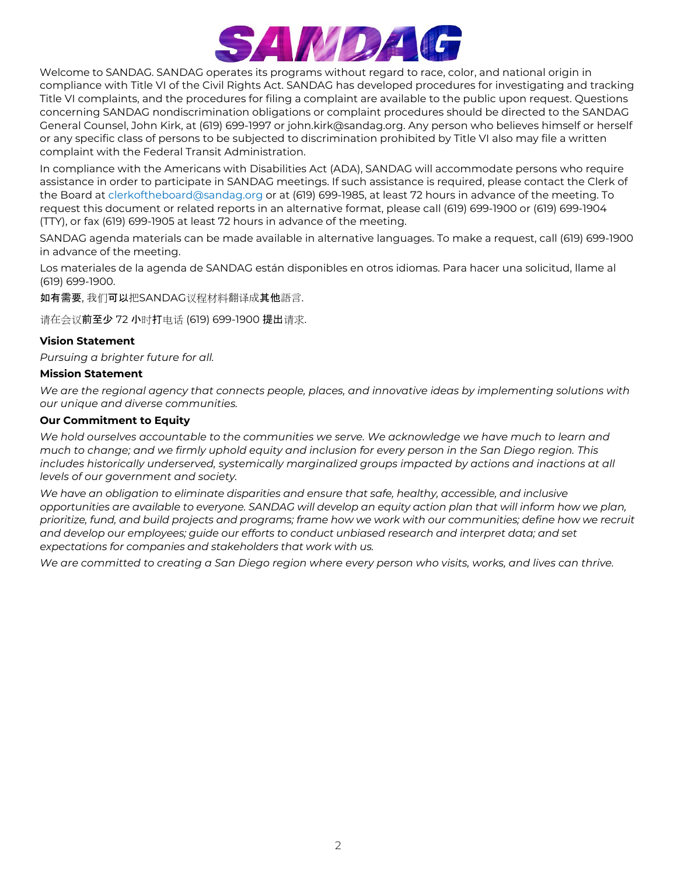

Welcome to SANDAG. SANDAG operates its programs without regard to race, color, and national origin in compliance with Title VI of the Civil Rights Act. SANDAG has developed procedures for investigating and tracking Title VI complaints, and the procedures for filing a complaint are available to the public upon request. Questions concerning SANDAG nondiscrimination obligations or complaint procedures should be directed to the SANDAG General Counsel, John Kirk, at (619) 699-1997 or john.kirk@sandag.org. Any person who believes himself or herself or any specific class of persons to be subjected to discrimination prohibited by Title VI also may file a written complaint with the Federal Transit Administration.

In compliance with the Americans with Disabilities Act (ADA), SANDAG will accommodate persons who require assistance in order to participate in SANDAG meetings. If such assistance is required, please contact the Clerk of the Board at [clerkoftheboard@sandag.org](mailto:clerkoftheboard@sandag.org) or at (619) 699-1985, at least 72 hours in advance of the meeting. To request this document or related reports in an alternative format, please call (619) 699-1900 or (619) 699-1904 (TTY), or fax (619) 699-1905 at least 72 hours in advance of the meeting.

SANDAG agenda materials can be made available in alternative languages. To make a request, call (619) 699-1900 in advance of the meeting.

Los materiales de la agenda de SANDAG están disponibles en otros idiomas. Para hacer una solicitud, llame al (619) 699-1900.

如有需要, 我们可以把SANDAG议程材料翻译成其他語言.

请在会议前至少 72 小时打电话 (619) 699-1900 提出请求.

### **Vision Statement**

*Pursuing a brighter future for all.*

#### **Mission Statement**

*We are the regional agency that connects people, places, and innovative ideas by implementing solutions with our unique and diverse communities.*

### **Our Commitment to Equity**

*We hold ourselves accountable to the communities we serve. We acknowledge we have much to learn and much to change; and we firmly uphold equity and inclusion for every person in the San Diego region. This*  includes historically underserved, systemically marginalized groups impacted by actions and inactions at all *levels of our government and society.*

*We have an obligation to eliminate disparities and ensure that safe, healthy, accessible, and inclusive opportunities are available to everyone. SANDAG will develop an equity action plan that will inform how we plan, prioritize, fund, and build projects and programs; frame how we work with our communities; define how we recruit and develop our employees; guide our efforts to conduct unbiased research and interpret data; and set expectations for companies and stakeholders that work with us.*

*We are committed to creating a San Diego region where every person who visits, works, and lives can thrive.*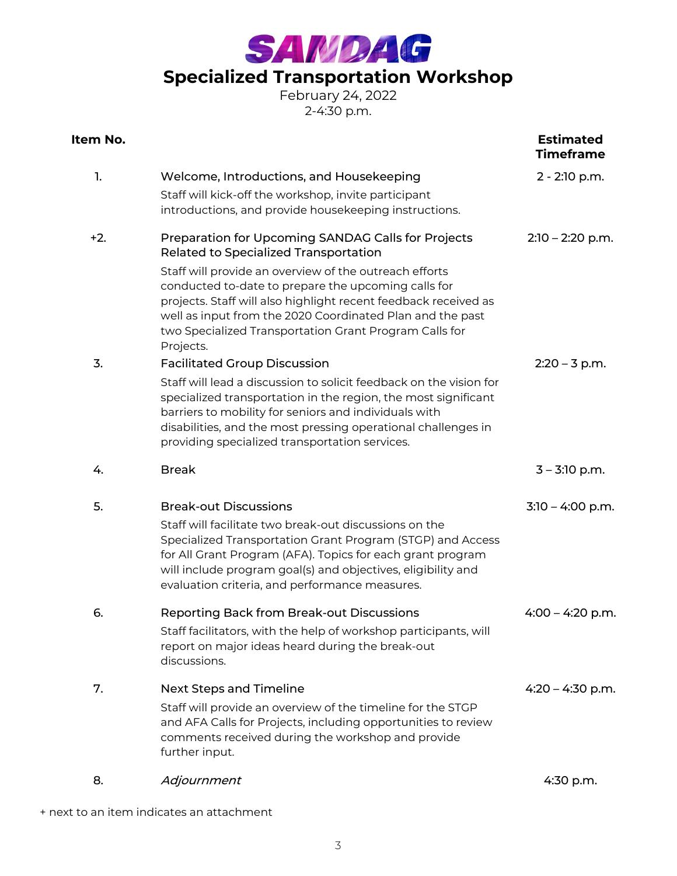SAMDAG

# **Specialized Transportation Workshop**

February 24, 2022 2-4:30 p.m.

| Item No. |                                                                                                                                                                                                                                                                                                                                                                                                                     | <b>Estimated</b><br><b>Timeframe</b> |
|----------|---------------------------------------------------------------------------------------------------------------------------------------------------------------------------------------------------------------------------------------------------------------------------------------------------------------------------------------------------------------------------------------------------------------------|--------------------------------------|
| 1.       | Welcome, Introductions, and Housekeeping<br>Staff will kick-off the workshop, invite participant<br>introductions, and provide housekeeping instructions.                                                                                                                                                                                                                                                           | 2 - 2:10 p.m.                        |
| $+2.$    | Preparation for Upcoming SANDAG Calls for Projects<br>Related to Specialized Transportation<br>Staff will provide an overview of the outreach efforts<br>conducted to-date to prepare the upcoming calls for<br>projects. Staff will also highlight recent feedback received as<br>well as input from the 2020 Coordinated Plan and the past<br>two Specialized Transportation Grant Program Calls for<br>Projects. | $2:10 - 2:20$ p.m.                   |
| 3.       | <b>Facilitated Group Discussion</b><br>Staff will lead a discussion to solicit feedback on the vision for<br>specialized transportation in the region, the most significant<br>barriers to mobility for seniors and individuals with<br>disabilities, and the most pressing operational challenges in<br>providing specialized transportation services.                                                             | $2:20 - 3$ p.m.                      |
| 4.       | <b>Break</b>                                                                                                                                                                                                                                                                                                                                                                                                        | $3 - 3:10$ p.m.                      |
| 5.       | <b>Break-out Discussions</b><br>Staff will facilitate two break-out discussions on the<br>Specialized Transportation Grant Program (STGP) and Access<br>for All Grant Program (AFA). Topics for each grant program<br>will include program goal(s) and objectives, eligibility and<br>evaluation criteria, and performance measures.                                                                                | $3:10 - 4:00$ p.m.                   |
| 6.       | <b>Reporting Back from Break-out Discussions</b><br>Staff facilitators, with the help of workshop participants, will<br>report on major ideas heard during the break-out<br>discussions.                                                                                                                                                                                                                            | $4:00 - 4:20$ p.m.                   |
| 7.       | Next Steps and Timeline<br>Staff will provide an overview of the timeline for the STGP<br>and AFA Calls for Projects, including opportunities to review<br>comments received during the workshop and provide<br>further input.                                                                                                                                                                                      | $4:20 - 4:30$ p.m.                   |
| 8.       | Adjournment                                                                                                                                                                                                                                                                                                                                                                                                         | 4:30 p.m.                            |

+ next to an item indicates an attachment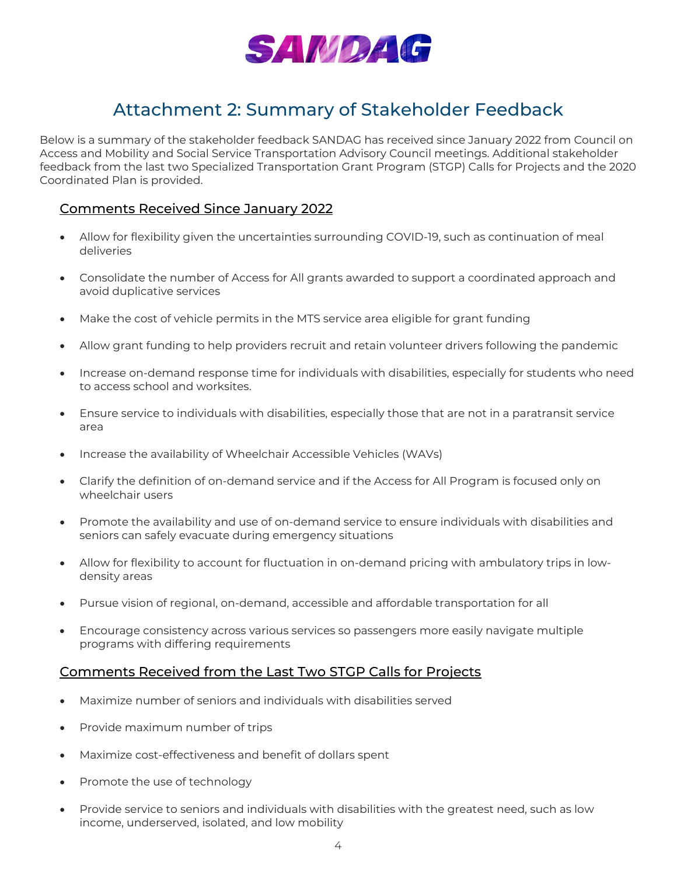

# Attachment 2: Summary of Stakeholder Feedback

Below is a summary of the stakeholder feedback SANDAG has received since January 2022 from Council on Access and Mobility and Social Service Transportation Advisory Council meetings. Additional stakeholder feedback from the last two Specialized Transportation Grant Program (STGP) Calls for Projects and the 2020 Coordinated Plan is provided.

### Comments Received Since January 2022

- Allow for flexibility given the uncertainties surrounding COVID-19, such as continuation of meal deliveries
- Consolidate the number of Access for All grants awarded to support a coordinated approach and avoid duplicative services
- Make the cost of vehicle permits in the MTS service area eligible for grant funding
- Allow grant funding to help providers recruit and retain volunteer drivers following the pandemic
- Increase on-demand response time for individuals with disabilities, especially for students who need to access school and worksites.
- Ensure service to individuals with disabilities, especially those that are not in a paratransit service area
- Increase the availability of Wheelchair Accessible Vehicles (WAVs)
- Clarify the definition of on-demand service and if the Access for All Program is focused only on wheelchair users
- Promote the availability and use of on-demand service to ensure individuals with disabilities and seniors can safely evacuate during emergency situations
- Allow for flexibility to account for fluctuation in on-demand pricing with ambulatory trips in lowdensity areas
- Pursue vision of regional, on-demand, accessible and affordable transportation for all
- Encourage consistency across various services so passengers more easily navigate multiple programs with differing requirements

### Comments Received from the Last Two STGP Calls for Projects

- Maximize number of seniors and individuals with disabilities served
- Provide maximum number of trips
- Maximize cost-effectiveness and benefit of dollars spent
- Promote the use of technology
- Provide service to seniors and individuals with disabilities with the greatest need, such as low income, underserved, isolated, and low mobility